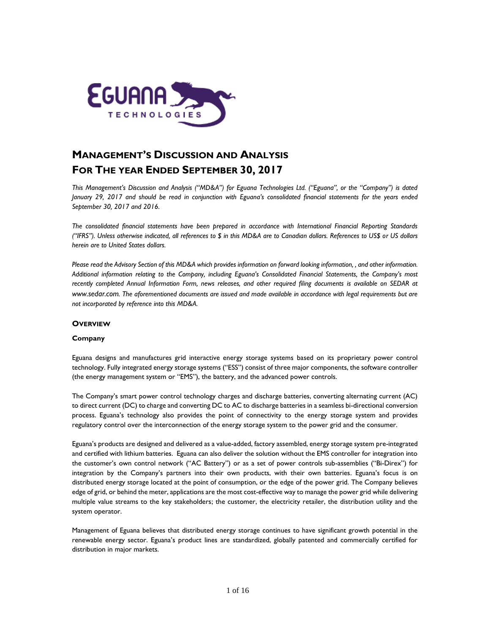

# **MANAGEMENT'S DISCUSSION AND ANALYSIS FOR THE YEAR ENDED SEPTEMBER 30, 2017**

*This Management's Discussion and Analysis ("MD&A") for Eguana Technologies Ltd. ("Eguana", or the "Company") is dated January 29, 2017 and should be read in conjunction with Eguana's consolidated financial statements for the years ended September 30, 2017 and 2016.* 

*The consolidated financial statements have been prepared in accordance with International Financial Reporting Standards ("IFRS"). Unless otherwise indicated, all references to \$ in this MD&A are to Canadian dollars. References to US\$ or US dollars herein are to United States dollars.*

*Please read the Advisory Section of this MD&A which provides information on forward looking information, , and other information. Additional information relating to the Company, including Eguana's Consolidated Financial Statements, the Company's most recently completed Annual Information Form, news releases, and other required filing documents is available on SEDAR at [www.sedar.com](http://www.sedar.com/). The aforementioned documents are issued and made available in accordance with legal requirements but are not incorporated by reference into this MD&A.*

# **OVERVIEW**

# **Company**

Eguana designs and manufactures grid interactive energy storage systems based on its proprietary power control technology. Fully integrated energy storage systems ("ESS") consist of three major components, the software controller (the energy management system or "EMS"), the battery, and the advanced power controls.

The Company's smart power control technology charges and discharge batteries, converting alternating current (AC) to direct current (DC) to charge and converting DC to AC to discharge batteries in a seamless bi-directional conversion process. Eguana's technology also provides the point of connectivity to the energy storage system and provides regulatory control over the interconnection of the energy storage system to the power grid and the consumer.

Eguana's products are designed and delivered as a value-added, factory assembled, energy storage system pre-integrated and certified with lithium batteries. Eguana can also deliver the solution without the EMS controller for integration into the customer's own control network ("AC Battery") or as a set of power controls sub-assemblies ("Bi-Direx") for integration by the Company's partners into their own products, with their own batteries. Eguana's focus is on distributed energy storage located at the point of consumption, or the edge of the power grid. The Company believes edge of grid, or behind the meter, applications are the most cost-effective way to manage the power grid while delivering multiple value streams to the key stakeholders; the customer, the electricity retailer, the distribution utility and the system operator.

Management of Eguana believes that distributed energy storage continues to have significant growth potential in the renewable energy sector. Eguana's product lines are standardized, globally patented and commercially certified for distribution in major markets.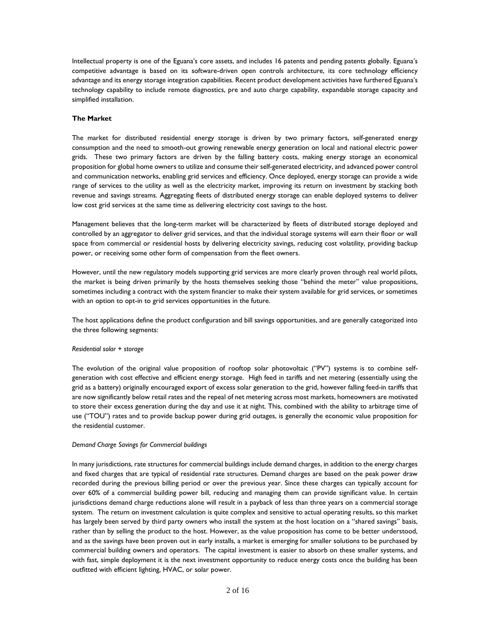Intellectual property is one of the Eguana's core assets, and includes 16 patents and pending patents globally. Eguana's competitive advantage is based on its software-driven open controls architecture, its core technology efficiency advantage and its energy storage integration capabilities. Recent product development activities have furthered Eguana's technology capability to include remote diagnostics, pre and auto charge capability, expandable storage capacity and simplified installation.

# **The Market**

The market for distributed residential energy storage is driven by two primary factors, self-generated energy consumption and the need to smooth-out growing renewable energy generation on local and national electric power grids. These two primary factors are driven by the falling battery costs, making energy storage an economical proposition for global home owners to utilize and consume their self-generated electricity, and advanced power control and communication networks, enabling grid services and efficiency. Once deployed, energy storage can provide a wide range of services to the utility as well as the electricity market, improving its return on investment by stacking both revenue and savings streams. Aggregating fleets of distributed energy storage can enable deployed systems to deliver low cost grid services at the same time as delivering electricity cost savings to the host.

Management believes that the long-term market will be characterized by fleets of distributed storage deployed and controlled by an aggregator to deliver grid services, and that the individual storage systems will earn their floor or wall space from commercial or residential hosts by delivering electricity savings, reducing cost volatility, providing backup power, or receiving some other form of compensation from the fleet owners.

However, until the new regulatory models supporting grid services are more clearly proven through real world pilots, the market is being driven primarily by the hosts themselves seeking those "behind the meter" value propositions, sometimes including a contract with the system financier to make their system available for grid services, or sometimes with an option to opt-in to grid services opportunities in the future.

The host applications define the product configuration and bill savings opportunities, and are generally categorized into the three following segments:

# *Residential solar + storage*

The evolution of the original value proposition of rooftop solar photovoltaic ("PV") systems is to combine selfgeneration with cost effective and efficient energy storage. High feed in tariffs and net metering (essentially using the grid as a battery) originally encouraged export of excess solar generation to the grid, however falling feed-in tariffs that are now significantly below retail rates and the repeal of net metering across most markets, homeowners are motivated to store their excess generation during the day and use it at night. This, combined with the ability to arbitrage time of use ("TOU") rates and to provide backup power during grid outages, is generally the economic value proposition for the residential customer.

# *Demand Charge Savings for Commercial buildings*

In many jurisdictions, rate structures for commercial buildings include demand charges, in addition to the energy charges and fixed charges that are typical of residential rate structures. Demand charges are based on the peak power draw recorded during the previous billing period or over the previous year. Since these charges can typically account for over 60% of a commercial building power bill, reducing and managing them can provide significant value. In certain jurisdictions demand charge reductions alone will result in a payback of less than three years on a commercial storage system. The return on investment calculation is quite complex and sensitive to actual operating results, so this market has largely been served by third party owners who install the system at the host location on a "shared savings" basis, rather than by selling the product to the host. However, as the value proposition has come to be better understood, and as the savings have been proven out in early installs, a market is emerging for smaller solutions to be purchased by commercial building owners and operators. The capital investment is easier to absorb on these smaller systems, and with fast, simple deployment it is the next investment opportunity to reduce energy costs once the building has been outfitted with efficient lighting, HVAC, or solar power.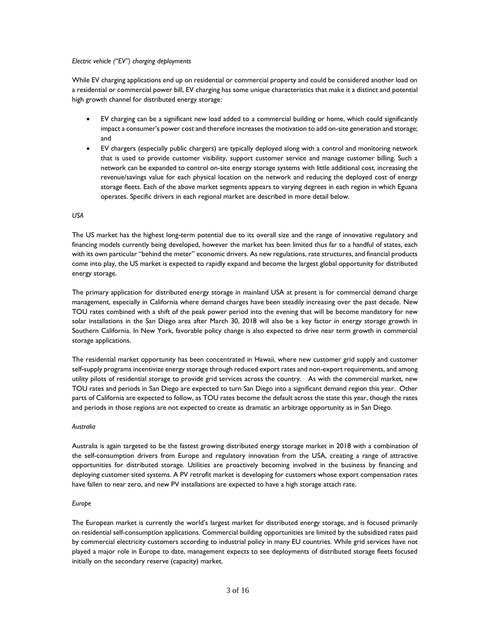## *Electric vehicle ("EV") charging deployments*

While EV charging applications end up on residential or commercial property and could be considered another load on a residential or commercial power bill, EV charging has some unique characteristics that make it a distinct and potential high growth channel for distributed energy storage:

- EV charging can be a significant new load added to a commercial building or home, which could significantly impact a consumer's power cost and therefore increases the motivation to add on-site generation and storage; and
- EV chargers (especially public chargers) are typically deployed along with a control and monitoring network that is used to provide customer visibility, support customer service and manage customer billing. Such a network can be expanded to control on-site energy storage systems with little additional cost, increasing the revenue/savings value for each physical location on the network and reducing the deployed cost of energy storage fleets. Each of the above market segments appears to varying degrees in each region in which Eguana operates. Specific drivers in each regional market are described in more detail below.

# *USA*

The US market has the highest long-term potential due to its overall size and the range of innovative regulatory and financing models currently being developed, however the market has been limited thus far to a handful of states, each with its own particular "behind the meter" economic drivers. As new regulations, rate structures, and financial products come into play, the US market is expected to rapidly expand and become the largest global opportunity for distributed energy storage.

The primary application for distributed energy storage in mainland USA at present is for commercial demand charge management, especially in California where demand charges have been steadily increasing over the past decade. New TOU rates combined with a shift of the peak power period into the evening that will be become mandatory for new solar installations in the San Diego area after March 30, 2018 will also be a key factor in energy storage growth in Southern California. In New York, favorable policy change is also expected to drive near term growth in commercial storage applications.

The residential market opportunity has been concentrated in Hawaii, where new customer grid supply and customer self-supply programs incentivize energy storage through reduced export rates and non-export requirements, and among utility pilots of residential storage to provide grid services across the country. As with the commercial market, new TOU rates and periods in San Diego are expected to turn San Diego into a significant demand region this year. Other parts of California are expected to follow, as TOU rates become the default across the state this year, though the rates and periods in those regions are not expected to create as dramatic an arbitrage opportunity as in San Diego.

#### *Australia*

Australia is again targeted to be the fastest growing distributed energy storage market in 2018 with a combination of the self-consumption drivers from Europe and regulatory innovation from the USA, creating a range of attractive opportunities for distributed storage. Utilities are proactively becoming involved in the business by financing and deploying customer sited systems. A PV retrofit market is developing for customers whose export compensation rates have fallen to near zero, and new PV installations are expected to have a high storage attach rate.

#### *Europe*

The European market is currently the world's largest market for distributed energy storage, and is focused primarily on residential self-consumption applications. Commercial building opportunities are limited by the subsidized rates paid by commercial electricity customers according to industrial policy in many EU countries. While grid services have not played a major role in Europe to date, management expects to see deployments of distributed storage fleets focused initially on the secondary reserve (capacity) market.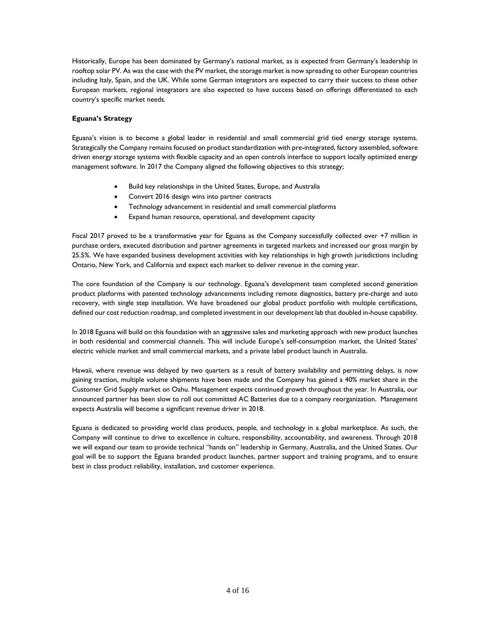Historically, Europe has been dominated by Germany's national market, as is expected from Germany's leadership in rooftop solar PV. As was the case with the PV market, the storage market is now spreading to other European countries including Italy, Spain, and the UK. While some German integrators are expected to carry their success to these other European markets, regional integrators are also expected to have success based on offerings differentiated to each country's specific market needs.

# **Eguana's Strategy**

Eguana's vision is to become a global leader in residential and small commercial grid tied energy storage systems. Strategically the Company remains focused on product standardization with pre-integrated, factory assembled, software driven energy storage systems with flexible capacity and an open controls interface to support locally optimized energy management software. In 2017 the Company aligned the following objectives to this strategy;

- Build key relationships in the United States, Europe, and Australia
- Convert 2016 design wins into partner contracts
- Technology advancement in residential and small commercial platforms
- Expand human resource, operational, and development capacity

Fiscal 2017 proved to be a transformative year for Eguana as the Company successfully collected over +7 million in purchase orders, executed distribution and partner agreements in targeted markets and increased our gross margin by 25.5%. We have expanded business development activities with key relationships in high growth jurisdictions including Ontario, New York, and California and expect each market to deliver revenue in the coming year.

The core foundation of the Company is our technology. Eguana's development team completed second generation product platforms with patented technology advancements including remote diagnostics, battery pre-charge and auto recovery, with single step installation. We have broadened our global product portfolio with multiple certifications, defined our cost reduction roadmap, and completed investment in our development lab that doubled in-house capability.

In 2018 Eguana will build on this foundation with an aggressive sales and marketing approach with new product launches in both residential and commercial channels. This will include Europe's self-consumption market, the United States' electric vehicle market and small commercial markets, and a private label product launch in Australia.

Hawaii, where revenue was delayed by two quarters as a result of battery availability and permitting delays, is now gaining traction, multiple volume shipments have been made and the Company has gained a 40% market share in the Customer Grid Supply market on Oahu. Management expects continued growth throughout the year. In Australia, our announced partner has been slow to roll out committed AC Batteries due to a company reorganization. Management expects Australia will become a significant revenue driver in 2018.

Eguana is dedicated to providing world class products, people, and technology in a global marketplace. As such, the Company will continue to drive to excellence in culture, responsibility, accountability, and awareness. Through 2018 we will expand our team to provide technical "hands on" leadership in Germany, Australia, and the United States. Our goal will be to support the Eguana branded product launches, partner support and training programs, and to ensure best in class product reliability, installation, and customer experience.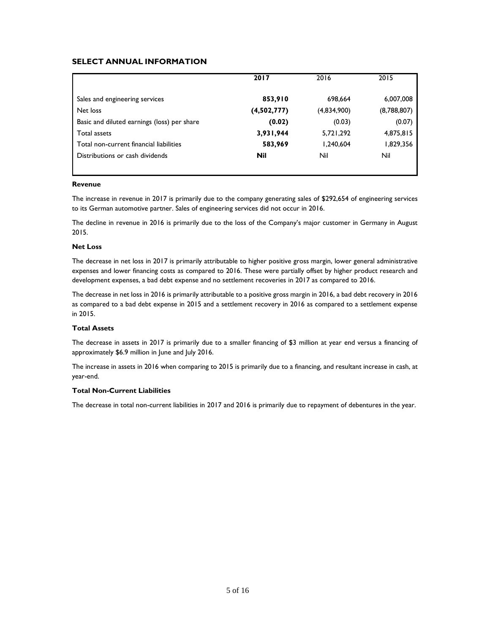# **SELECT ANNUAL INFORMATION**

|                                             | 2017        | 2016        | 2015        |
|---------------------------------------------|-------------|-------------|-------------|
|                                             |             |             |             |
| Sales and engineering services              | 853,910     | 698,664     | 6,007,008   |
| Net loss                                    | (4,502,777) | (4,834,900) | (8,788,807) |
| Basic and diluted earnings (loss) per share | (0.02)      | (0.03)      | (0.07)      |
| Total assets                                | 3,931,944   | 5,721,292   | 4,875,815   |
| Total non-current financial liabilities     | 583,969     | 1,240,604   | 1,829,356   |
| Distributions or cash dividends             | Nil         | Nil         | Nil         |
|                                             |             |             |             |

# **Revenue**

The increase in revenue in 2017 is primarily due to the company generating sales of \$292,654 of engineering services to its German automotive partner. Sales of engineering services did not occur in 2016.

The decline in revenue in 2016 is primarily due to the loss of the Company's major customer in Germany in August 2015.

## **Net Loss**

The decrease in net loss in 2017 is primarily attributable to higher positive gross margin, lower general administrative expenses and lower financing costs as compared to 2016. These were partially offset by higher product research and development expenses, a bad debt expense and no settlement recoveries in 2017 as compared to 2016.

The decrease in net loss in 2016 is primarily attributable to a positive gross margin in 2016, a bad debt recovery in 2016 as compared to a bad debt expense in 2015 and a settlement recovery in 2016 as compared to a settlement expense in 2015.

# **Total Assets**

The decrease in assets in 2017 is primarily due to a smaller financing of \$3 million at year end versus a financing of approximately \$6.9 million in June and July 2016.

The increase in assets in 2016 when comparing to 2015 is primarily due to a financing, and resultant increase in cash, at year-end.

# **Total Non-Current Liabilities**

The decrease in total non-current liabilities in 2017 and 2016 is primarily due to repayment of debentures in the year.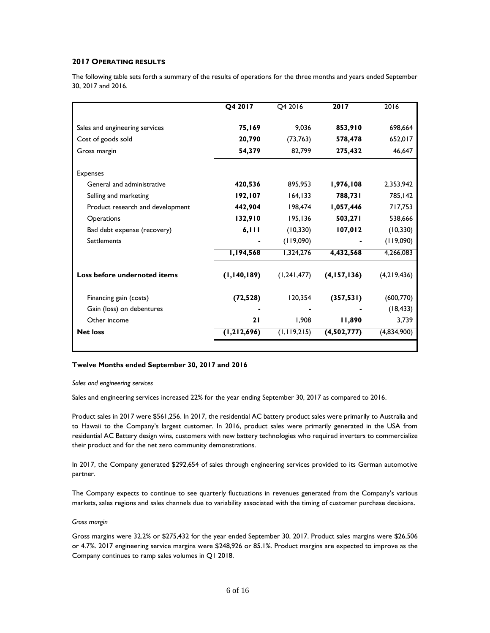# **2017 OPERATING RESULTS**

The following table sets forth a summary of the results of operations for the three months and years ended September 30, 2017 and 2016.

|                                  | Q4 2017       | O4 2016       | 2017        | 2016        |
|----------------------------------|---------------|---------------|-------------|-------------|
| Sales and engineering services   | <b>75,169</b> | 9.036         | 853,910     | 698,664     |
| Cost of goods sold               | 20,790        | (73, 763)     | 578,478     | 652,017     |
| Gross margin                     | 54,379        | 82,799        | 275,432     | 46,647      |
| <b>Expenses</b>                  |               |               |             |             |
| General and administrative       | 420,536       | 895,953       | 1,976,108   | 2,353,942   |
| Selling and marketing            | 192,107       | 164, 133      | 788,731     | 785,142     |
| Product research and development | 442,904       | 198,474       | 1,057,446   | 717,753     |
| Operations                       | 132,910       | 195,136       | 503,271     | 538,666     |
| Bad debt expense (recovery)      | 6, 111        | (10, 330)     | 107,012     | (10, 330)   |
| Settlements                      |               | (119,090)     |             | (119,090)   |
|                                  | 1,194,568     | 1,324,276     | 4,432,568   | 4,266,083   |
| Loss before undernoted items     | (1,140,189)   | (1, 241, 477) | (4,157,136) | (4,219,436) |
| Financing gain (costs)           | (72, 528)     | 120,354       | (357, 531)  | (600, 770)  |
| Gain (loss) on debentures        |               |               |             | (18, 433)   |
| Other income                     | 21            | 1,908         | 11,890      | 3,739       |
| <b>Net loss</b>                  | (1, 212, 696) | (1,119,215)   | (4,502,777) | (4,834,900) |
|                                  |               |               |             |             |

# **Twelve Months ended September 30, 2017 and 2016**

#### *Sales and engineering services*

Sales and engineering services increased 22% for the year ending September 30, 2017 as compared to 2016.

Product sales in 2017 were \$561,256. In 2017, the residential AC battery product sales were primarily to Australia and to Hawaii to the Company's largest customer. In 2016, product sales were primarily generated in the USA from residential AC Battery design wins, customers with new battery technologies who required inverters to commercialize their product and for the net zero community demonstrations.

In 2017, the Company generated \$292,654 of sales through engineering services provided to its German automotive partner.

The Company expects to continue to see quarterly fluctuations in revenues generated from the Company's various markets, sales regions and sales channels due to variability associated with the timing of customer purchase decisions.

#### *Gross margin*

Gross margins were 32.2% or \$275,432 for the year ended September 30, 2017. Product sales margins were \$26,506 or 4.7%. 2017 engineering service margins were \$248,926 or 85.1%. Product margins are expected to improve as the Company continues to ramp sales volumes in Q1 2018.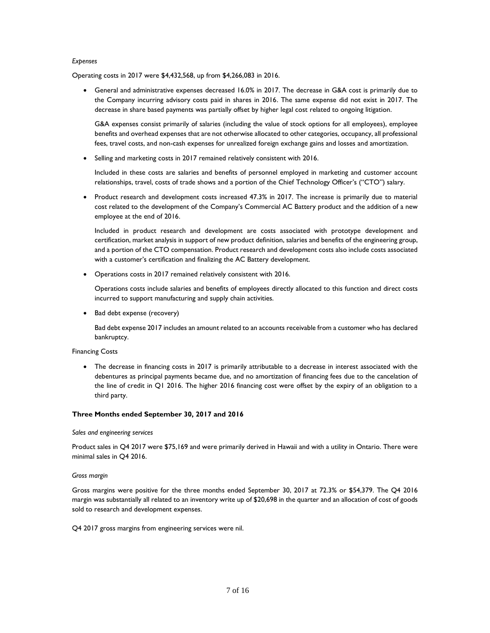## *Expenses*

Operating costs in 2017 were \$4,432,568, up from \$4,266,083 in 2016.

 General and administrative expenses decreased 16.0% in 2017. The decrease in G&A cost is primarily due to the Company incurring advisory costs paid in shares in 2016. The same expense did not exist in 2017. The decrease in share based payments was partially offset by higher legal cost related to ongoing litigation.

G&A expenses consist primarily of salaries (including the value of stock options for all employees), employee benefits and overhead expenses that are not otherwise allocated to other categories, occupancy, all professional fees, travel costs, and non-cash expenses for unrealized foreign exchange gains and losses and amortization.

• Selling and marketing costs in 2017 remained relatively consistent with 2016.

Included in these costs are salaries and benefits of personnel employed in marketing and customer account relationships, travel, costs of trade shows and a portion of the Chief Technology Officer's ("CTO") salary.

• Product research and development costs increased 47.3% in 2017. The increase is primarily due to material cost related to the development of the Company's Commercial AC Battery product and the addition of a new employee at the end of 2016.

Included in product research and development are costs associated with prototype development and certification, market analysis in support of new product definition, salaries and benefits of the engineering group, and a portion of the CTO compensation. Product research and development costs also include costs associated with a customer's certification and finalizing the AC Battery development.

Operations costs in 2017 remained relatively consistent with 2016.

Operations costs include salaries and benefits of employees directly allocated to this function and direct costs incurred to support manufacturing and supply chain activities.

Bad debt expense (recovery)

Bad debt expense 2017 includes an amount related to an accounts receivable from a customer who has declared bankruptcy.

# Financing Costs

 The decrease in financing costs in 2017 is primarily attributable to a decrease in interest associated with the debentures as principal payments became due, and no amortization of financing fees due to the cancelation of the line of credit in Q1 2016. The higher 2016 financing cost were offset by the expiry of an obligation to a third party.

#### **Three Months ended September 30, 2017 and 2016**

#### *Sales and engineering services*

Product sales in Q4 2017 were \$75,169 and were primarily derived in Hawaii and with a utility in Ontario. There were minimal sales in Q4 2016.

#### *Gross margin*

Gross margins were positive for the three months ended September 30, 2017 at 72.3% or \$54,379. The Q4 2016 margin was substantially all related to an inventory write up of \$20,698 in the quarter and an allocation of cost of goods sold to research and development expenses.

Q4 2017 gross margins from engineering services were nil.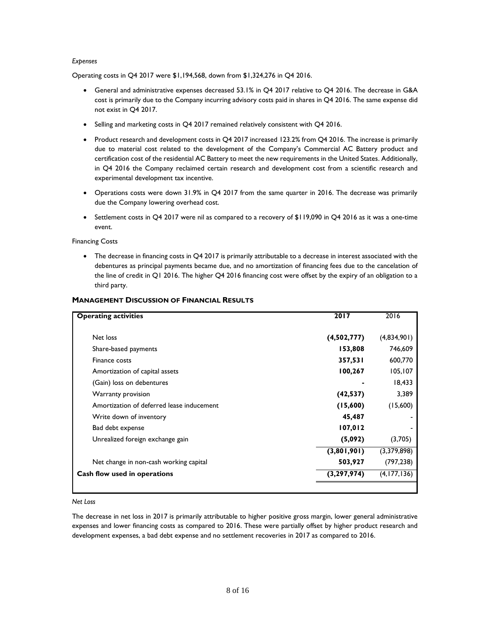# *Expenses*

Operating costs in Q4 2017 were \$1,194,568, down from \$1,324,276 in Q4 2016.

- General and administrative expenses decreased 53.1% in Q4 2017 relative to Q4 2016. The decrease in G&A cost is primarily due to the Company incurring advisory costs paid in shares in Q4 2016. The same expense did not exist in Q4 2017.
- Selling and marketing costs in Q4 2017 remained relatively consistent with Q4 2016.
- Product research and development costs in Q4 2017 increased 123.2% from Q4 2016. The increase is primarily due to material cost related to the development of the Company's Commercial AC Battery product and certification cost of the residential AC Battery to meet the new requirements in the United States. Additionally, in Q4 2016 the Company reclaimed certain research and development cost from a scientific research and experimental development tax incentive.
- Operations costs were down 31.9% in Q4 2017 from the same quarter in 2016. The decrease was primarily due the Company lowering overhead cost.
- Settlement costs in Q4 2017 were nil as compared to a recovery of \$119,090 in Q4 2016 as it was a one-time event.

## Financing Costs

• The decrease in financing costs in Q4 2017 is primarily attributable to a decrease in interest associated with the debentures as principal payments became due, and no amortization of financing fees due to the cancelation of the line of credit in Q1 2016. The higher Q4 2016 financing cost were offset by the expiry of an obligation to a third party.

| <b>Operating activities</b>               | 2017          | 2016          |
|-------------------------------------------|---------------|---------------|
| Net loss                                  | (4,502,777)   | (4,834,901)   |
| Share-based payments                      | 153,808       | 746,609       |
| Finance costs                             | 357,531       | 600,770       |
| Amortization of capital assets            | 100,267       | 105,107       |
| (Gain) loss on debentures                 |               | 18,433        |
| Warranty provision                        | (42, 537)     | 3,389         |
| Amortization of deferred lease inducement | (15,600)      | (15,600)      |
| Write down of inventory                   | 45,487        |               |
| Bad debt expense                          | 107,012       |               |
| Unrealized foreign exchange gain          | (5,092)       | (3,705)       |
|                                           | (3,801,901)   | (3,379,898)   |
| Net change in non-cash working capital    | 503,927       | (797, 238)    |
| Cash flow used in operations              | (3, 297, 974) | (4, 177, 136) |
|                                           |               |               |

# **MANAGEMENT DISCUSSION OF FINANCIAL RESULTS**

#### *Net Loss*

The decrease in net loss in 2017 is primarily attributable to higher positive gross margin, lower general administrative expenses and lower financing costs as compared to 2016. These were partially offset by higher product research and development expenses, a bad debt expense and no settlement recoveries in 2017 as compared to 2016.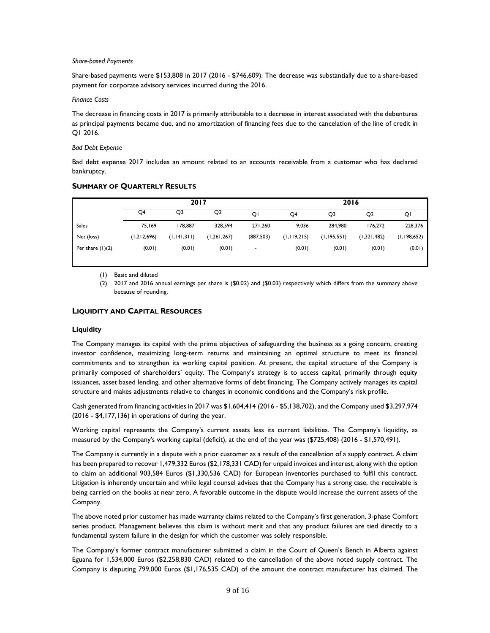## *Share-based Payments*

Share-based payments were \$153,808 in 2017 (2016 - \$746,609). The decrease was substantially due to a share-based payment for corporate advisory services incurred during the 2016.

## *Finance Costs*

The decrease in financing costs in 2017 is primarily attributable to a decrease in interest associated with the debentures as principal payments became due, and no amortization of financing fees due to the cancelation of the line of credit in Q1 2016.

#### *Bad Debt Expense*

Bad debt expense 2017 includes an amount related to an accounts receivable from a customer who has declared bankruptcy.

# **SUMMARY OF QUARTERLY RESULTS**

|                    | 2017        |               |                | 2016       |               |               |                |             |
|--------------------|-------------|---------------|----------------|------------|---------------|---------------|----------------|-------------|
|                    | Q4          | Q3            | Q <sub>2</sub> | ΟI         | Q4            | Q3            | Q <sub>2</sub> | QI          |
| <b>Sales</b>       | 75,169      | 178,887       | 328,594        | 271,260    | 9.036         | 284,980       | 176,272        | 228,376     |
| Net (loss)         | (1,212,696) | (1, 141, 311) | (1, 261, 267)  | (887, 503) | (1, 119, 215) | (1, 195, 551) | (1,321,482)    | (1,198,652) |
| Per share $(1)(2)$ | (0.01)      | (0.01)        | (0.01)         |            | (0.01)        | (0.01)        | (0.01)         | (0.01)      |

(1) Basic and diluted

(2) 2017 and 2016 annual earnings per share is (\$0.02) and (\$0.03) respectively which differs from the summary above because of rounding.

# **LIQUIDITY AND CAPITAL RESOURCES**

#### **Liquidity**

The Company manages its capital with the prime objectives of safeguarding the business as a going concern, creating investor confidence, maximizing long-term returns and maintaining an optimal structure to meet its financial commitments and to strengthen its working capital position. At present, the capital structure of the Company is primarily composed of shareholders' equity. The Company's strategy is to access capital, primarily through equity issuances, asset based lending, and other alternative forms of debt financing. The Company actively manages its capital structure and makes adjustments relative to changes in economic conditions and the Company's risk profile.

Cash generated from financing activities in 2017 was \$1,604,414 (2016 - \$5,138,702), and the Company used \$3,297,974 (2016 - \$4,177,136) in operations of during the year.

Working capital represents the Company's current assets less its current liabilities. The Company's liquidity, as measured by the Company's working capital (deficit), at the end of the year was (\$725,408) (2016 - \$1,570,491).

The Company is currently in a dispute with a prior customer as a result of the cancellation of a supply contract. A claim has been prepared to recover 1,479,332 Euros (\$2,178,331 CAD) for unpaid invoices and interest, along with the option to claim an additional 903,584 Euros (\$1,330,536 CAD) for European inventories purchased to fulfil this contract. Litigation is inherently uncertain and while legal counsel advises that the Company has a strong case, the receivable is being carried on the books at near zero. A favorable outcome in the dispute would increase the current assets of the Company.

The above noted prior customer has made warranty claims related to the Company's first generation, 3-phase Comfort series product. Management believes this claim is without merit and that any product failures are tied directly to a fundamental system failure in the design for which the customer was solely responsible.

The Company's former contract manufacturer submitted a claim in the Court of Queen's Bench in Alberta against Eguana for 1,534,000 Euros (\$2,258,830 CAD) related to the cancellation of the above noted supply contract. The Company is disputing 799,000 Euros (\$1,176,535 CAD) of the amount the contract manufacturer has claimed. The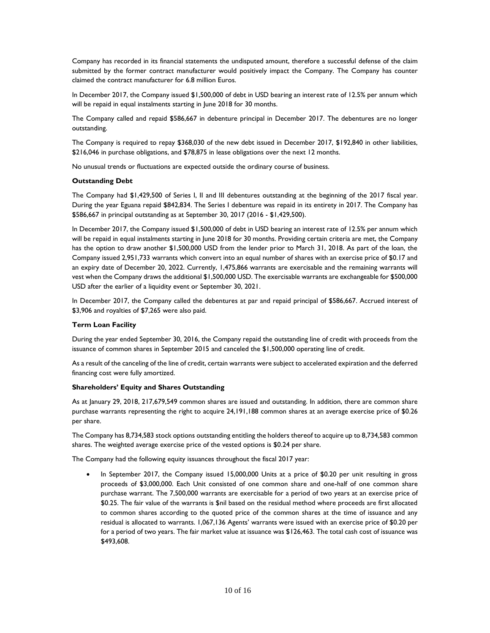Company has recorded in its financial statements the undisputed amount, therefore a successful defense of the claim submitted by the former contract manufacturer would positively impact the Company. The Company has counter claimed the contract manufacturer for 6.8 million Euros.

In December 2017, the Company issued \$1,500,000 of debt in USD bearing an interest rate of 12.5% per annum which will be repaid in equal instalments starting in June 2018 for 30 months.

The Company called and repaid \$586,667 in debenture principal in December 2017. The debentures are no longer outstanding.

The Company is required to repay \$368,030 of the new debt issued in December 2017, \$192,840 in other liabilities, \$216,046 in purchase obligations, and \$78,875 in lease obligations over the next 12 months.

No unusual trends or fluctuations are expected outside the ordinary course of business.

## **Outstanding Debt**

The Company had \$1,429,500 of Series I, II and III debentures outstanding at the beginning of the 2017 fiscal year. During the year Eguana repaid \$842,834. The Series I debenture was repaid in its entirety in 2017. The Company has \$586,667 in principal outstanding as at September 30, 2017 (2016 - \$1,429,500).

In December 2017, the Company issued \$1,500,000 of debt in USD bearing an interest rate of 12.5% per annum which will be repaid in equal instalments starting in June 2018 for 30 months. Providing certain criteria are met, the Company has the option to draw another \$1,500,000 USD from the lender prior to March 31, 2018. As part of the loan, the Company issued 2,951,733 warrants which convert into an equal number of shares with an exercise price of \$0.17 and an expiry date of December 20, 2022. Currently, 1,475,866 warrants are exercisable and the remaining warrants will vest when the Company draws the additional \$1,500,000 USD. The exercisable warrants are exchangeable for \$500,000 USD after the earlier of a liquidity event or September 30, 2021.

In December 2017, the Company called the debentures at par and repaid principal of \$586,667. Accrued interest of \$3,906 and royalties of \$7,265 were also paid.

# **Term Loan Facility**

During the year ended September 30, 2016, the Company repaid the outstanding line of credit with proceeds from the issuance of common shares in September 2015 and canceled the \$1,500,000 operating line of credit.

As a result of the canceling of the line of credit, certain warrants were subject to accelerated expiration and the deferred financing cost were fully amortized.

#### **Shareholders' Equity and Shares Outstanding**

As at January 29, 2018, 217,679,549 common shares are issued and outstanding. In addition, there are common share purchase warrants representing the right to acquire 24,191,188 common shares at an average exercise price of \$0.26 per share.

The Company has 8,734,583 stock options outstanding entitling the holders thereof to acquire up to 8,734,583 common shares. The weighted average exercise price of the vested options is \$0.24 per share.

The Company had the following equity issuances throughout the fiscal 2017 year:

• In September 2017, the Company issued 15,000,000 Units at a price of \$0.20 per unit resulting in gross proceeds of \$3,000,000. Each Unit consisted of one common share and one-half of one common share purchase warrant. The 7,500,000 warrants are exercisable for a period of two years at an exercise price of \$0.25. The fair value of the warrants is \$nil based on the residual method where proceeds are first allocated to common shares according to the quoted price of the common shares at the time of issuance and any residual is allocated to warrants. 1,067,136 Agents' warrants were issued with an exercise price of \$0.20 per for a period of two years. The fair market value at issuance was \$126,463. The total cash cost of issuance was \$493,608.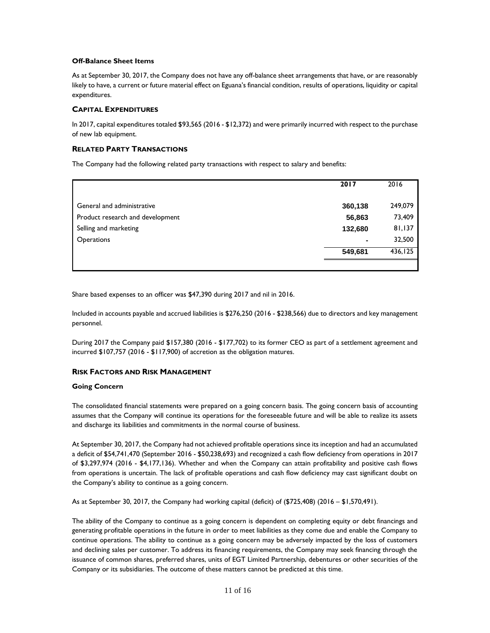# **Off-Balance Sheet Items**

As at September 30, 2017, the Company does not have any off-balance sheet arrangements that have, or are reasonably likely to have, a current or future material effect on Eguana's financial condition, results of operations, liquidity or capital expenditures.

# **CAPITAL EXPENDITURES**

In 2017, capital expenditures totaled \$93,565 (2016 - \$12,372) and were primarily incurred with respect to the purchase of new lab equipment.

# **RELATED PARTY TRANSACTIONS**

The Company had the following related party transactions with respect to salary and benefits:

|                                  | 2017    | 2016    |
|----------------------------------|---------|---------|
| General and administrative       | 360,138 | 249,079 |
| Product research and development | 56,863  | 73,409  |
| Selling and marketing            | 132,680 | 81,137  |
| Operations                       | ٠       | 32,500  |
|                                  | 549,681 | 436,125 |
|                                  |         |         |

Share based expenses to an officer was \$47,390 during 2017 and nil in 2016.

Included in accounts payable and accrued liabilities is \$276,250 (2016 - \$238,566) due to directors and key management personnel.

During 2017 the Company paid \$157,380 (2016 - \$177,702) to its former CEO as part of a settlement agreement and incurred \$107,757 (2016 - \$117,900) of accretion as the obligation matures.

# **RISK FACTORS AND RISK MANAGEMENT**

#### **Going Concern**

The consolidated financial statements were prepared on a going concern basis. The going concern basis of accounting assumes that the Company will continue its operations for the foreseeable future and will be able to realize its assets and discharge its liabilities and commitments in the normal course of business.

At September 30, 2017, the Company had not achieved profitable operations since its inception and had an accumulated a deficit of \$54,741,470 (September 2016 - \$50,238,693) and recognized a cash flow deficiency from operations in 2017 of \$3,297,974 (2016 - \$4,177,136). Whether and when the Company can attain profitability and positive cash flows from operations is uncertain. The lack of profitable operations and cash flow deficiency may cast significant doubt on the Company's ability to continue as a going concern.

As at September 30, 2017, the Company had working capital (deficit) of (\$725,408) (2016 – \$1,570,491).

The ability of the Company to continue as a going concern is dependent on completing equity or debt financings and generating profitable operations in the future in order to meet liabilities as they come due and enable the Company to continue operations. The ability to continue as a going concern may be adversely impacted by the loss of customers and declining sales per customer. To address its financing requirements, the Company may seek financing through the issuance of common shares, preferred shares, units of EGT Limited Partnership, debentures or other securities of the Company or its subsidiaries. The outcome of these matters cannot be predicted at this time.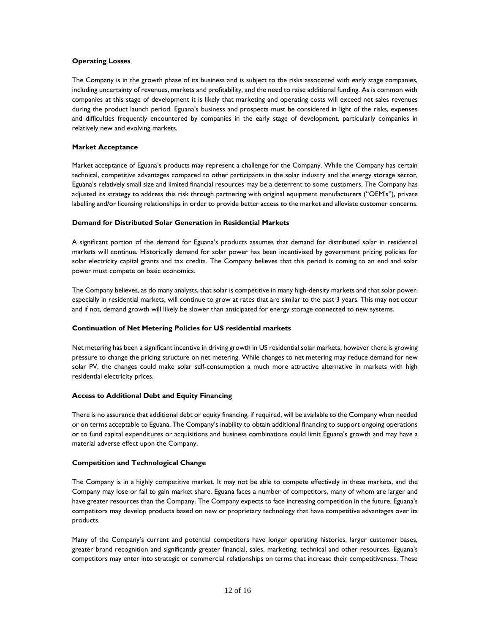# **Operating Losses**

The Company is in the growth phase of its business and is subject to the risks associated with early stage companies, including uncertainty of revenues, markets and profitability, and the need to raise additional funding. As is common with companies at this stage of development it is likely that marketing and operating costs will exceed net sales revenues during the product launch period. Eguana's business and prospects must be considered in light of the risks, expenses and difficulties frequently encountered by companies in the early stage of development, particularly companies in relatively new and evolving markets.

# **Market Acceptance**

Market acceptance of Eguana's products may represent a challenge for the Company. While the Company has certain technical, competitive advantages compared to other participants in the solar industry and the energy storage sector, Eguana's relatively small size and limited financial resources may be a deterrent to some customers. The Company has adjusted its strategy to address this risk through partnering with original equipment manufacturers ("OEM's"), private labelling and/or licensing relationships in order to provide better access to the market and alleviate customer concerns.

# **Demand for Distributed Solar Generation in Residential Markets**

A significant portion of the demand for Eguana's products assumes that demand for distributed solar in residential markets will continue. Historically demand for solar power has been incentivized by government pricing policies for solar electricity capital grants and tax credits. The Company believes that this period is coming to an end and solar power must compete on basic economics.

The Company believes, as do many analysts, that solar is competitive in many high-density markets and that solar power, especially in residential markets, will continue to grow at rates that are similar to the past 3 years. This may not occur and if not, demand growth will likely be slower than anticipated for energy storage connected to new systems.

# **Continuation of Net Metering Policies for US residential markets**

Net metering has been a significant incentive in driving growth in US residential solar markets, however there is growing pressure to change the pricing structure on net metering. While changes to net metering may reduce demand for new solar PV, the changes could make solar self-consumption a much more attractive alternative in markets with high residential electricity prices.

# **Access to Additional Debt and Equity Financing**

There is no assurance that additional debt or equity financing, if required, will be available to the Company when needed or on terms acceptable to Eguana. The Company's inability to obtain additional financing to support ongoing operations or to fund capital expenditures or acquisitions and business combinations could limit Eguana's growth and may have a material adverse effect upon the Company.

# **Competition and Technological Change**

The Company is in a highly competitive market. It may not be able to compete effectively in these markets, and the Company may lose or fail to gain market share. Eguana faces a number of competitors, many of whom are larger and have greater resources than the Company. The Company expects to face increasing competition in the future. Eguana's competitors may develop products based on new or proprietary technology that have competitive advantages over its products.

Many of the Company's current and potential competitors have longer operating histories, larger customer bases, greater brand recognition and significantly greater financial, sales, marketing, technical and other resources. Eguana's competitors may enter into strategic or commercial relationships on terms that increase their competitiveness. These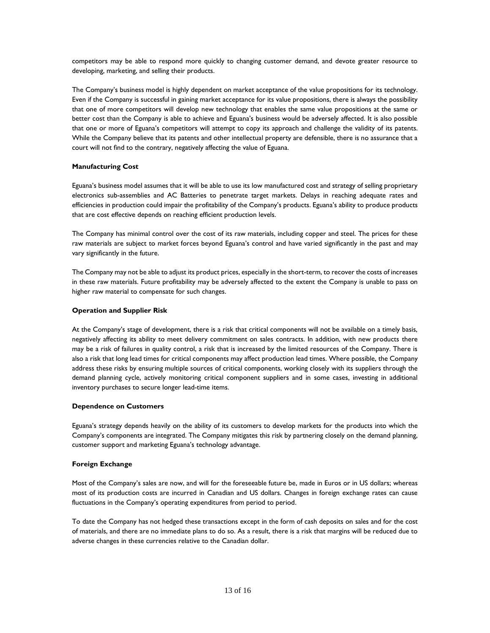competitors may be able to respond more quickly to changing customer demand, and devote greater resource to developing, marketing, and selling their products.

The Company's business model is highly dependent on market acceptance of the value propositions for its technology. Even if the Company is successful in gaining market acceptance for its value propositions, there is always the possibility that one of more competitors will develop new technology that enables the same value propositions at the same or better cost than the Company is able to achieve and Eguana's business would be adversely affected. It is also possible that one or more of Eguana's competitors will attempt to copy its approach and challenge the validity of its patents. While the Company believe that its patents and other intellectual property are defensible, there is no assurance that a court will not find to the contrary, negatively affecting the value of Eguana.

# **Manufacturing Cost**

Eguana's business model assumes that it will be able to use its low manufactured cost and strategy of selling proprietary electronics sub-assemblies and AC Batteries to penetrate target markets. Delays in reaching adequate rates and efficiencies in production could impair the profitability of the Company's products. Eguana's ability to produce products that are cost effective depends on reaching efficient production levels.

The Company has minimal control over the cost of its raw materials, including copper and steel. The prices for these raw materials are subject to market forces beyond Eguana's control and have varied significantly in the past and may vary significantly in the future.

The Company may not be able to adjust its product prices, especially in the short-term, to recover the costs of increases in these raw materials. Future profitability may be adversely affected to the extent the Company is unable to pass on higher raw material to compensate for such changes.

# **Operation and Supplier Risk**

At the Company's stage of development, there is a risk that critical components will not be available on a timely basis, negatively affecting its ability to meet delivery commitment on sales contracts. In addition, with new products there may be a risk of failures in quality control, a risk that is increased by the limited resources of the Company. There is also a risk that long lead times for critical components may affect production lead times. Where possible, the Company address these risks by ensuring multiple sources of critical components, working closely with its suppliers through the demand planning cycle, actively monitoring critical component suppliers and in some cases, investing in additional inventory purchases to secure longer lead-time items.

# **Dependence on Customers**

Eguana's strategy depends heavily on the ability of its customers to develop markets for the products into which the Company's components are integrated. The Company mitigates this risk by partnering closely on the demand planning, customer support and marketing Eguana's technology advantage.

# **Foreign Exchange**

Most of the Company's sales are now, and will for the foreseeable future be, made in Euros or in US dollars; whereas most of its production costs are incurred in Canadian and US dollars. Changes in foreign exchange rates can cause fluctuations in the Company's operating expenditures from period to period.

To date the Company has not hedged these transactions except in the form of cash deposits on sales and for the cost of materials, and there are no immediate plans to do so. As a result, there is a risk that margins will be reduced due to adverse changes in these currencies relative to the Canadian dollar.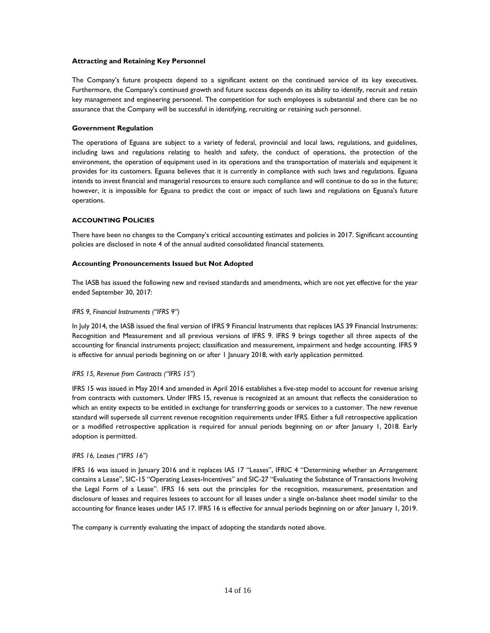# **Attracting and Retaining Key Personnel**

The Company's future prospects depend to a significant extent on the continued service of its key executives. Furthermore, the Company's continued growth and future success depends on its ability to identify, recruit and retain key management and engineering personnel. The competition for such employees is substantial and there can be no assurance that the Company will be successful in identifying, recruiting or retaining such personnel.

## **Government Regulation**

The operations of Eguana are subject to a variety of federal, provincial and local laws, regulations, and guidelines, including laws and regulations relating to health and safety, the conduct of operations, the protection of the environment, the operation of equipment used in its operations and the transportation of materials and equipment it provides for its customers. Eguana believes that it is currently in compliance with such laws and regulations. Eguana intends to invest financial and managerial resources to ensure such compliance and will continue to do so in the future; however, it is impossible for Eguana to predict the cost or impact of such laws and regulations on Eguana's future operations.

## **ACCOUNTING POLICIES**

There have been no changes to the Company's critical accounting estimates and policies in 2017. Significant accounting policies are disclosed in note 4 of the annual audited consolidated financial statements.

## **Accounting Pronouncements Issued but Not Adopted**

The IASB has issued the following new and revised standards and amendments, which are not yet effective for the year ended September 30, 2017:

## *IFRS 9, Financial Instruments ("IFRS 9")*

In July 2014, the IASB issued the final version of IFRS 9 Financial Instruments that replaces IAS 39 Financial Instruments: Recognition and Measurement and all previous versions of IFRS 9. IFRS 9 brings together all three aspects of the accounting for financial instruments project; classification and measurement, impairment and hedge accounting. IFRS 9 is effective for annual periods beginning on or after 1 January 2018, with early application permitted.

#### *IFRS 15, Revenue from Contracts ("IFRS 15")*

IFRS 15 was issued in May 2014 and amended in April 2016 establishes a five-step model to account for revenue arising from contracts with customers. Under IFRS 15, revenue is recognized at an amount that reflects the consideration to which an entity expects to be entitled in exchange for transferring goods or services to a customer. The new revenue standard will supersede all current revenue recognition requirements under IFRS. Either a full retrospective application or a modified retrospective application is required for annual periods beginning on or after January 1, 2018. Early adoption is permitted.

#### *IFRS 16, Leases ("IFRS 16")*

IFRS 16 was issued in January 2016 and it replaces IAS 17 "Leases", IFRIC 4 "Determining whether an Arrangement contains a Lease", SIC-15 "Operating Leases-Incentives" and SIC-27 "Evaluating the Substance of Transactions Involving the Legal Form of a Lease". IFRS 16 sets out the principles for the recognition, measurement, presentation and disclosure of leases and requires lessees to account for all leases under a single on-balance sheet model similar to the accounting for finance leases under IAS 17. IFRS 16 is effective for annual periods beginning on or after January 1, 2019.

The company is currently evaluating the impact of adopting the standards noted above.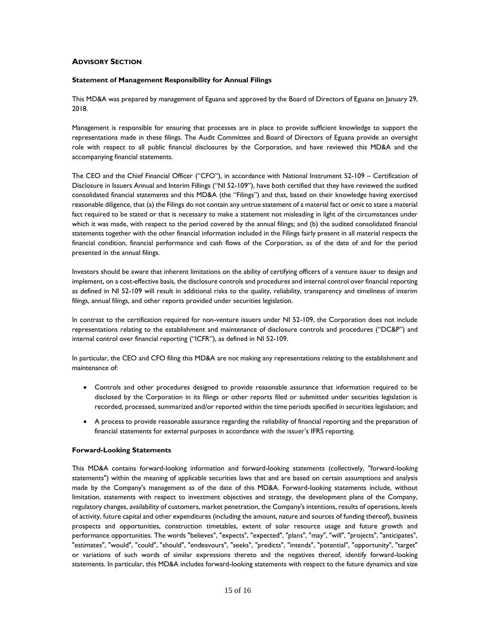# **ADVISORY SECTION**

# **Statement of Management Responsibility for Annual Filings**

This MD&A was prepared by management of Eguana and approved by the Board of Directors of Eguana on January 29, 2018.

Management is responsible for ensuring that processes are in place to provide sufficient knowledge to support the representations made in these filings. The Audit Committee and Board of Directors of Eguana provide an oversight role with respect to all public financial disclosures by the Corporation, and have reviewed this MD&A and the accompanying financial statements.

The CEO and the Chief Financial Officer ("CFO"), in accordance with National Instrument 52-109 – Certification of Disclosure in Issuers Annual and Interim Fillings ("NI 52-109"), have both certified that they have reviewed the audited consolidated financial statements and this MD&A (the "Filings") and that, based on their knowledge having exercised reasonable diligence, that (a) the Filings do not contain any untrue statement of a material fact or omit to state a material fact required to be stated or that is necessary to make a statement not misleading in light of the circumstances under which it was made, with respect to the period covered by the annual filings; and (b) the audited consolidated financial statements together with the other financial information included in the Filings fairly present in all material respects the financial condition, financial performance and cash flows of the Corporation, as of the date of and for the period presented in the annual filings.

Investors should be aware that inherent limitations on the ability of certifying officers of a venture issuer to design and implement, on a cost-effective basis, the disclosure controls and procedures and internal control over financial reporting as defined in NI 52-109 will result in additional risks to the quality, reliability, transparency and timeliness of interim filings, annual filings, and other reports provided under securities legislation.

In contrast to the certification required for non-venture issuers under NI 52-109, the Corporation does not include representations relating to the establishment and maintenance of disclosure controls and procedures ("DC&P") and internal control over financial reporting ("ICFR"), as defined in NI 52-109.

In particular, the CEO and CFO filing this MD&A are not making any representations relating to the establishment and maintenance of:

- Controls and other procedures designed to provide reasonable assurance that information required to be disclosed by the Corporation in its filings or other reports filed or submitted under securities legislation is recorded, processed, summarized and/or reported within the time periods specified in securities legislation; and
- A process to provide reasonable assurance regarding the reliability of financial reporting and the preparation of financial statements for external purposes in accordance with the issuer's IFRS reporting.

# **Forward-Looking Statements**

This MD&A contains forward-looking information and forward-looking statements (collectively, "forward-looking statements") within the meaning of applicable securities laws that and are based on certain assumptions and analysis made by the Company's management as of the date of this MD&A. Forward-looking statements include, without limitation, statements with respect to investment objectives and strategy, the development plans of the Company, regulatory changes, availability of customers, market penetration, the Company's intentions, results of operations, levels of activity, future capital and other expenditures (including the amount, nature and sources of funding thereof), business prospects and opportunities, construction timetables, extent of solar resource usage and future growth and performance opportunities. The words "believes", "expects", "expected", "plans", "may", "will", "projects", "anticipates", "estimates", "would", "could", "should", "endeavours", "seeks", "predicts", "intends", "potential", "opportunity", "target" or variations of such words of similar expressions thereto and the negatives thereof, identify forward-looking statements. In particular, this MD&A includes forward-looking statements with respect to the future dynamics and size